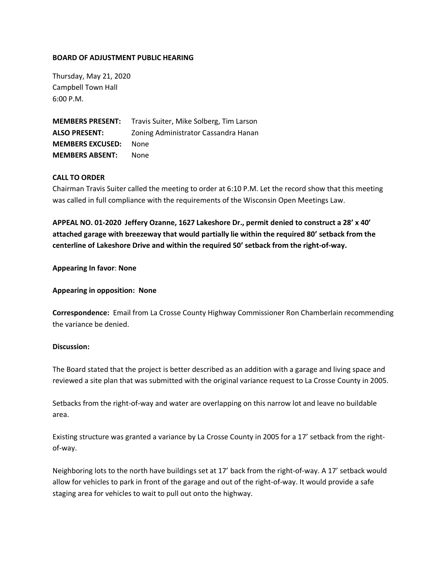## **BOARD OF ADJUSTMENT PUBLIC HEARING**

Thursday, May 21, 2020 Campbell Town Hall 6:00 P.M.

**MEMBERS PRESENT:** Travis Suiter, Mike Solberg, Tim Larson **ALSO PRESENT:** Zoning Administrator Cassandra Hanan **MEMBERS EXCUSED:** None **MEMBERS ABSENT:** None

## **CALL TO ORDER**

Chairman Travis Suiter called the meeting to order at 6:10 P.M. Let the record show that this meeting was called in full compliance with the requirements of the Wisconsin Open Meetings Law.

**APPEAL NO. 01-2020 Jeffery Ozanne, 1627 Lakeshore Dr., permit denied to construct a 28' x 40' attached garage with breezeway that would partially lie within the required 80' setback from the centerline of Lakeshore Drive and within the required 50' setback from the right-of-way.** 

**Appearing In favor**: **None**

**Appearing in opposition: None**

**Correspondence:** Email from La Crosse County Highway Commissioner Ron Chamberlain recommending the variance be denied.

## **Discussion:**

The Board stated that the project is better described as an addition with a garage and living space and reviewed a site plan that was submitted with the original variance request to La Crosse County in 2005.

Setbacks from the right-of-way and water are overlapping on this narrow lot and leave no buildable area.

Existing structure was granted a variance by La Crosse County in 2005 for a 17' setback from the rightof-way.

Neighboring lots to the north have buildings set at 17' back from the right-of-way. A 17' setback would allow for vehicles to park in front of the garage and out of the right-of-way. It would provide a safe staging area for vehicles to wait to pull out onto the highway.